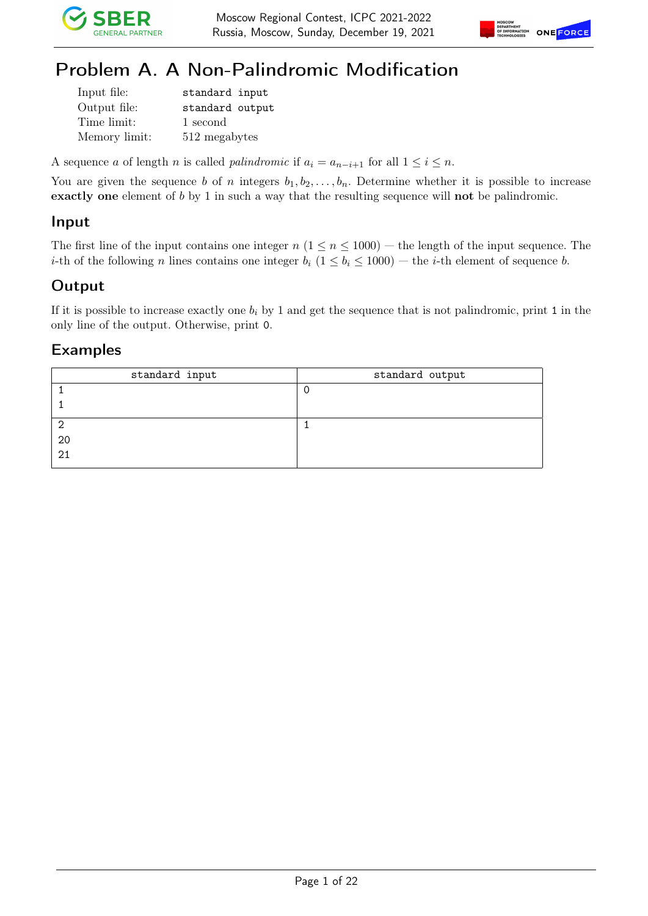



## Problem A. A Non-Palindromic Modification

| Input file:   | standard input  |
|---------------|-----------------|
| Output file:  | standard output |
| Time limit:   | 1 second        |
| Memory limit: | 512 megabytes   |

A sequence a of length n is called palindromic if  $a_i = a_{n-i+1}$  for all  $1 \leq i \leq n$ .

You are given the sequence b of n integers  $b_1, b_2, \ldots, b_n$ . Determine whether it is possible to increase exactly one element of b by 1 in such a way that the resulting sequence will not be palindromic.

#### Input

The first line of the input contains one integer  $n (1 \le n \le 1000)$  — the length of the input sequence. The *i*-th of the following *n* lines contains one integer  $b_i$  ( $1 \leq b_i \leq 1000$ ) — the *i*-th element of sequence *b*.

### Output

If it is possible to increase exactly one  $b_i$  by 1 and get the sequence that is not palindromic, print 1 in the only line of the output. Otherwise, print 0.

| standard input | standard output |
|----------------|-----------------|
|                |                 |
|                |                 |
| ◠              |                 |
| 20             |                 |
| 21             |                 |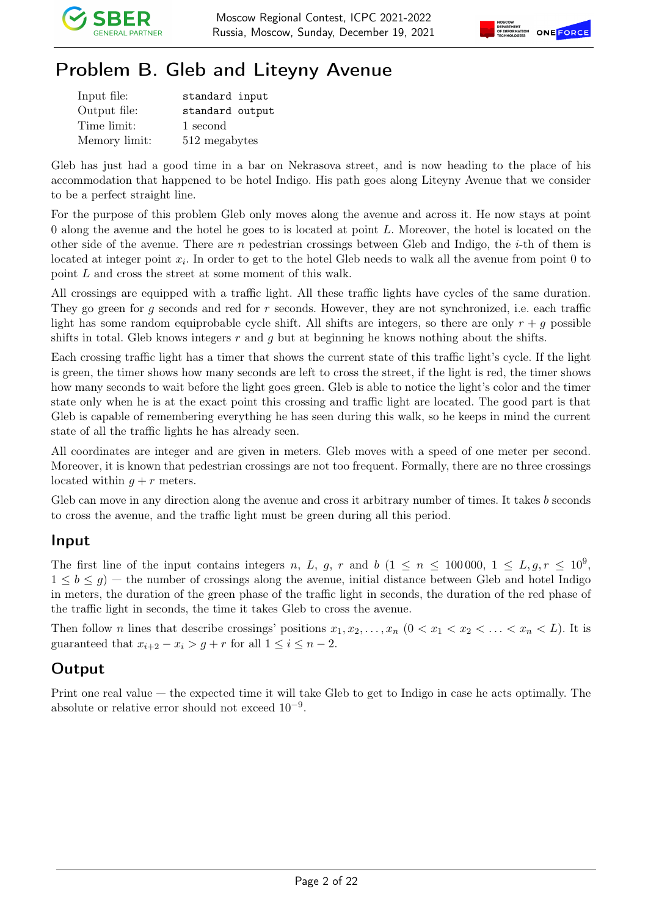

# Problem B. Gleb and Liteyny Avenue

| Input file:   | standard input  |
|---------------|-----------------|
| Output file:  | standard output |
| Time limit:   | 1 second        |
| Memory limit: | 512 megabytes   |

Gleb has just had a good time in a bar on Nekrasova street, and is now heading to the place of his accommodation that happened to be hotel Indigo. His path goes along Liteyny Avenue that we consider to be a perfect straight line.

For the purpose of this problem Gleb only moves along the avenue and across it. He now stays at point  $0$  along the avenue and the hotel he goes to is located at point  $L$ . Moreover, the hotel is located on the other side of the avenue. There are n pedestrian crossings between Gleb and Indigo, the  $i$ -th of them is located at integer point  $x_i$ . In order to get to the hotel Gleb needs to walk all the avenue from point 0 to point L and cross the street at some moment of this walk.

All crossings are equipped with a traffic light. All these traffic lights have cycles of the same duration. They go green for g seconds and red for r seconds. However, they are not synchronized, i.e. each traffic light has some random equiprobable cycle shift. All shifts are integers, so there are only  $r + g$  possible shifts in total. Gleb knows integers  $r$  and  $q$  but at beginning he knows nothing about the shifts.

Each crossing traffic light has a timer that shows the current state of this traffic light's cycle. If the light is green, the timer shows how many seconds are left to cross the street, if the light is red, the timer shows how many seconds to wait before the light goes green. Gleb is able to notice the light's color and the timer state only when he is at the exact point this crossing and traffic light are located. The good part is that Gleb is capable of remembering everything he has seen during this walk, so he keeps in mind the current state of all the traffic lights he has already seen.

All coordinates are integer and are given in meters. Gleb moves with a speed of one meter per second. Moreover, it is known that pedestrian crossings are not too frequent. Formally, there are no three crossings located within  $q + r$  meters.

Gleb can move in any direction along the avenue and cross it arbitrary number of times. It takes b seconds to cross the avenue, and the traffic light must be green during all this period.

#### Input

The first line of the input contains integers n, L, g, r and b  $(1 \le n \le 100000, 1 \le L, g, r \le 10^9,$  $1 \leq b \leq g$  – the number of crossings along the avenue, initial distance between Gleb and hotel Indigo in meters, the duration of the green phase of the traffic light in seconds, the duration of the red phase of the traffic light in seconds, the time it takes Gleb to cross the avenue.

Then follow *n* lines that describe crossings' positions  $x_1, x_2, \ldots, x_n$   $(0 < x_1 < x_2 < \ldots < x_n < L)$ . It is guaranteed that  $x_{i+2} - x_i > g + r$  for all  $1 \leq i \leq n-2$ .

### **Output**

Print one real value — the expected time it will take Gleb to get to Indigo in case he acts optimally. The absolute or relative error should not exceed  $10^{-9}$ .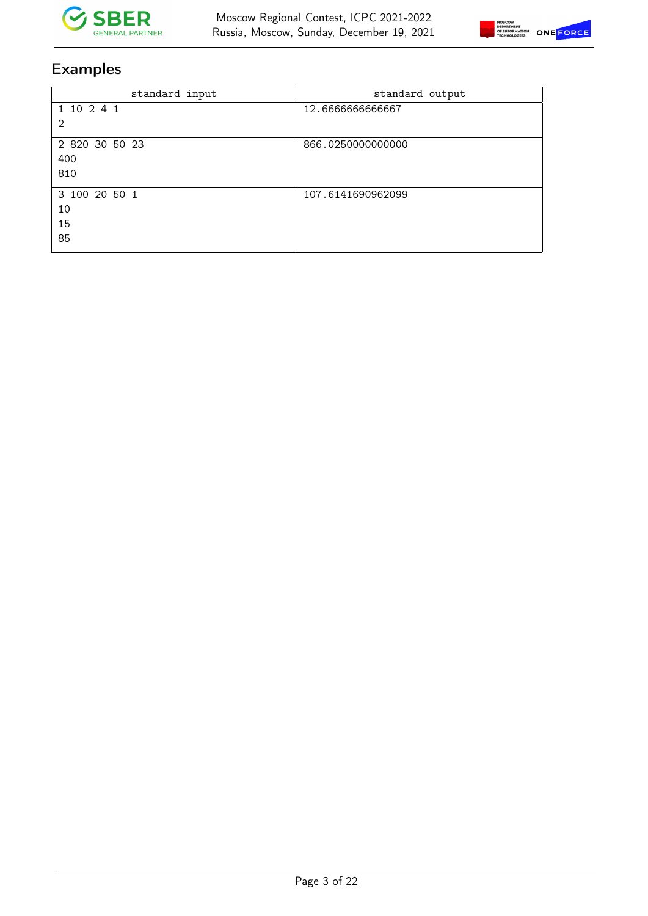



| standard input | standard output   |
|----------------|-------------------|
| 1 10 2 4 1     | 12.666666666667   |
| 2              |                   |
| 2 820 30 50 23 | 866.0250000000000 |
| 400            |                   |
| 810            |                   |
| 3 100 20 50 1  | 107.6141690962099 |
| 10             |                   |
| 15             |                   |
| 85             |                   |
|                |                   |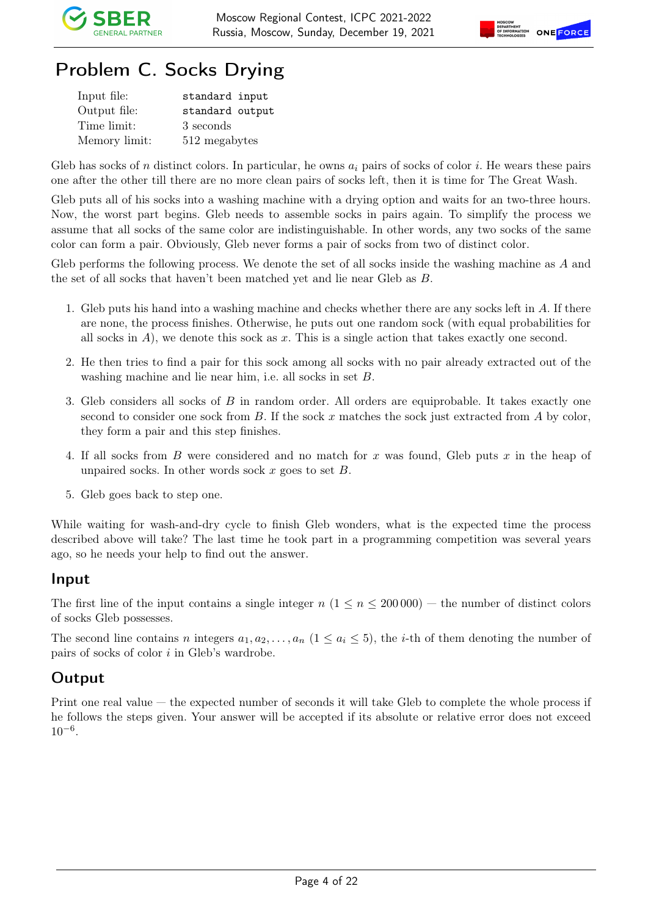

# Problem C. Socks Drying

| Input file:   | standard input  |
|---------------|-----------------|
| Output file:  | standard output |
| Time limit:   | 3 seconds       |
| Memory limit: | 512 megabytes   |

Gleb has socks of n distinct colors. In particular, he owns  $a_i$  pairs of socks of color i. He wears these pairs one after the other till there are no more clean pairs of socks left, then it is time for The Great Wash.

Gleb puts all of his socks into a washing machine with a drying option and waits for an two-three hours. Now, the worst part begins. Gleb needs to assemble socks in pairs again. To simplify the process we assume that all socks of the same color are indistinguishable. In other words, any two socks of the same color can form a pair. Obviously, Gleb never forms a pair of socks from two of distinct color.

Gleb performs the following process. We denote the set of all socks inside the washing machine as A and the set of all socks that haven't been matched yet and lie near Gleb as B.

- 1. Gleb puts his hand into a washing machine and checks whether there are any socks left in A. If there are none, the process finishes. Otherwise, he puts out one random sock (with equal probabilities for all socks in  $A$ ), we denote this sock as x. This is a single action that takes exactly one second.
- 2. He then tries to find a pair for this sock among all socks with no pair already extracted out of the washing machine and lie near him, i.e. all socks in set B.
- 3. Gleb considers all socks of B in random order. All orders are equiprobable. It takes exactly one second to consider one sock from  $B$ . If the sock x matches the sock just extracted from  $A$  by color, they form a pair and this step finishes.
- 4. If all socks from B were considered and no match for x was found, Gleb puts x in the heap of unpaired socks. In other words sock  $x$  goes to set  $B$ .
- 5. Gleb goes back to step one.

While waiting for wash-and-dry cycle to finish Gleb wonders, what is the expected time the process described above will take? The last time he took part in a programming competition was several years ago, so he needs your help to find out the answer.

#### Input

The first line of the input contains a single integer  $n (1 \le n \le 200000)$  — the number of distinct colors of socks Gleb possesses.

The second line contains n integers  $a_1, a_2, \ldots, a_n$   $(1 \le a_i \le 5)$ , the *i*-th of them denoting the number of pairs of socks of color i in Gleb's wardrobe.

### Output

Print one real value — the expected number of seconds it will take Gleb to complete the whole process if he follows the steps given. Your answer will be accepted if its absolute or relative error does not exceed  $10^{-6}$ .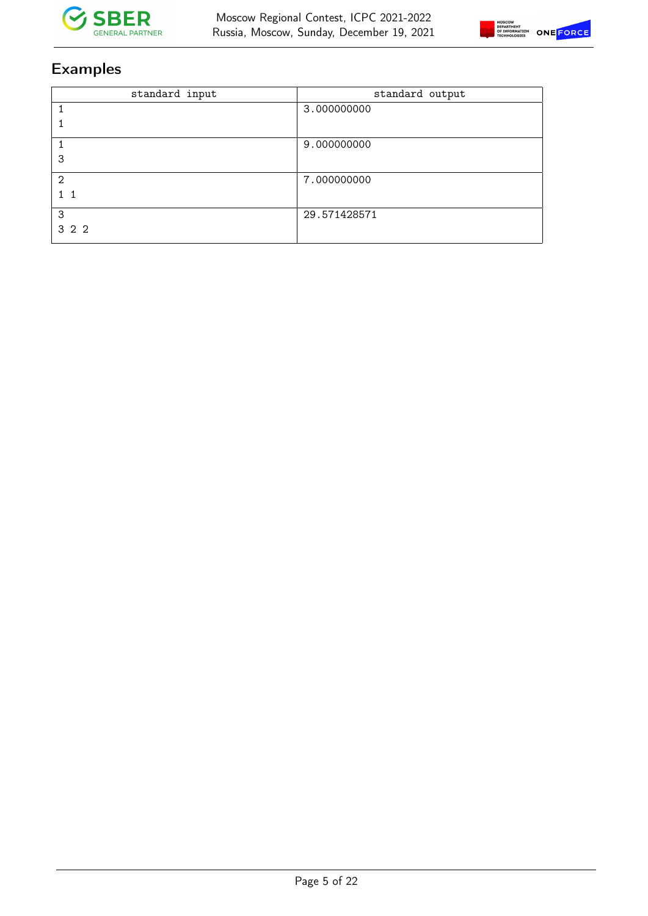



| standard input | standard output |
|----------------|-----------------|
|                | 3.000000000     |
|                |                 |
|                | 9.000000000     |
| 3              |                 |
| $\mathfrak{D}$ | 7.000000000     |
|                |                 |
| 3              | 29.571428571    |
| 3 2 2          |                 |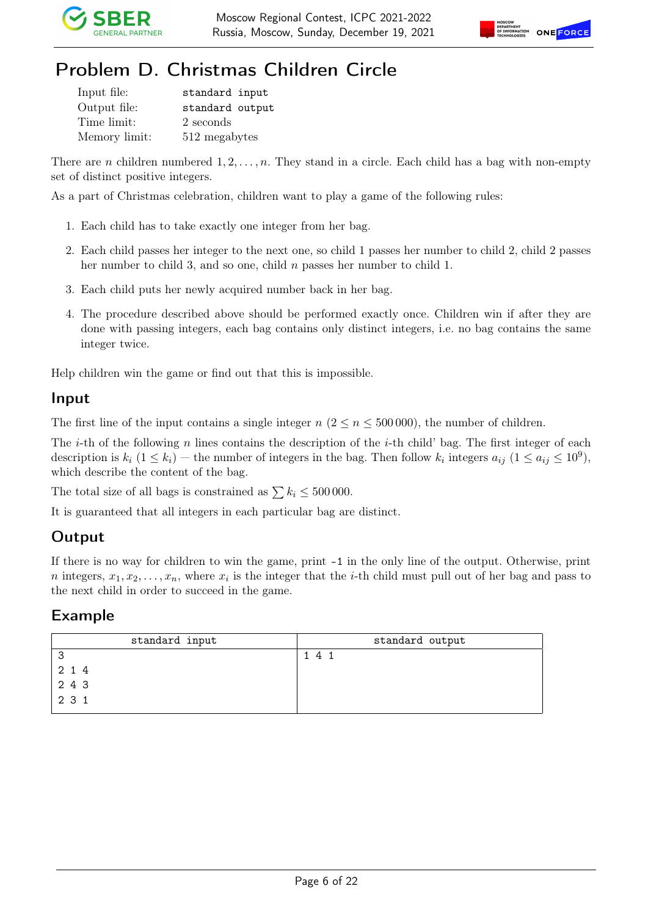



## Problem D. Christmas Children Circle

| Input file:   | standard input  |
|---------------|-----------------|
| Output file:  | standard output |
| Time limit:   | 2 seconds       |
| Memory limit: | 512 megabytes   |

There are n children numbered  $1, 2, \ldots, n$ . They stand in a circle. Each child has a bag with non-empty set of distinct positive integers.

As a part of Christmas celebration, children want to play a game of the following rules:

- 1. Each child has to take exactly one integer from her bag.
- 2. Each child passes her integer to the next one, so child 1 passes her number to child 2, child 2 passes her number to child 3, and so one, child n passes her number to child 1.
- 3. Each child puts her newly acquired number back in her bag.
- 4. The procedure described above should be performed exactly once. Children win if after they are done with passing integers, each bag contains only distinct integers, i.e. no bag contains the same integer twice.

Help children win the game or find out that this is impossible.

#### Input

The first line of the input contains a single integer  $n (2 \le n \le 500000)$ , the number of children.

The *i*-th of the following n lines contains the description of the *i*-th child' bag. The first integer of each description is  $k_i$   $(1 \le k_i)$  – the number of integers in the bag. Then follow  $k_i$  integers  $a_{ij}$   $(1 \le a_{ij} \le 10^9)$ , which describe the content of the bag.

The total size of all bags is constrained as  $\sum k_i \le 500000$ .

It is guaranteed that all integers in each particular bag are distinct.

#### **Output**

If there is no way for children to win the game, print -1 in the only line of the output. Otherwise, print *n* integers,  $x_1, x_2, \ldots, x_n$ , where  $x_i$  is the integer that the *i*-th child must pull out of her bag and pass to the next child in order to succeed in the game.

| standard input                                          | standard output |
|---------------------------------------------------------|-----------------|
| ິ                                                       | 1 4 1           |
| 2 1 4                                                   |                 |
| $\begin{array}{ccc} 2 & 4 & 3 \\ 2 & 3 & 1 \end{array}$ |                 |
|                                                         |                 |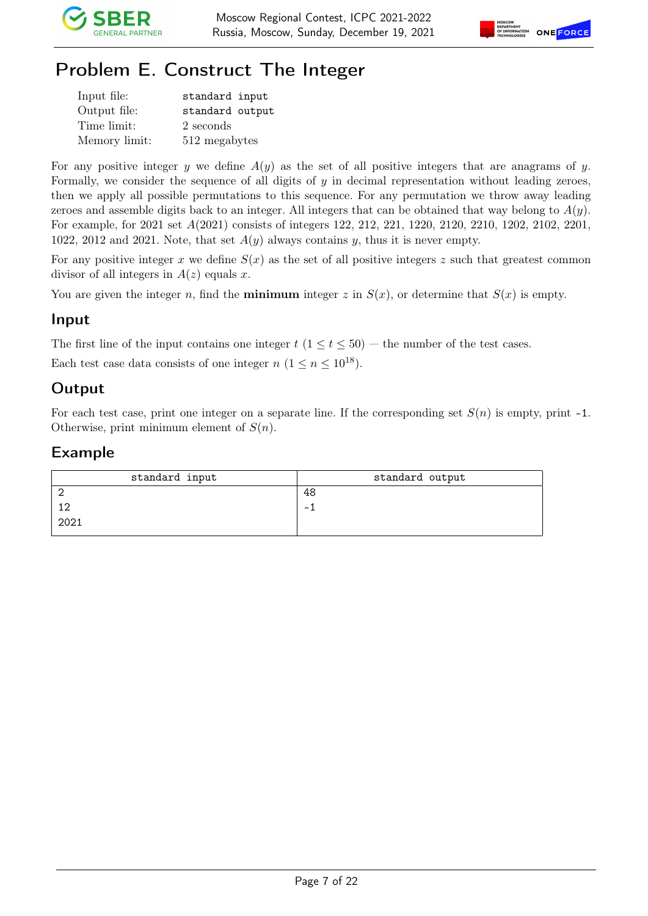



# Problem E. Construct The Integer

| Input file:   | standard input  |
|---------------|-----------------|
| Output file:  | standard output |
| Time limit:   | 2 seconds       |
| Memory limit: | 512 megabytes   |

For any positive integer y we define  $A(y)$  as the set of all positive integers that are anagrams of y. Formally, we consider the sequence of all digits of  $y$  in decimal representation without leading zeroes, then we apply all possible permutations to this sequence. For any permutation we throw away leading zeroes and assemble digits back to an integer. All integers that can be obtained that way belong to  $A(y)$ . For example, for 2021 set A(2021) consists of integers 122, 212, 221, 1220, 2120, 2210, 1202, 2102, 2201, 1022, 2012 and 2021. Note, that set  $A(y)$  always contains y, thus it is never empty.

For any positive integer x we define  $S(x)$  as the set of all positive integers z such that greatest common divisor of all integers in  $A(z)$  equals x.

You are given the integer n, find the **minimum** integer z in  $S(x)$ , or determine that  $S(x)$  is empty.

### Input

The first line of the input contains one integer  $t$   $(1 \le t \le 50)$  — the number of the test cases.

Each test case data consists of one integer  $n (1 \le n \le 10^{18})$ .

### **Output**

For each test case, print one integer on a separate line. If the corresponding set  $S(n)$  is empty, print -1. Otherwise, print minimum element of  $S(n)$ .

| standard input | standard output          |
|----------------|--------------------------|
|                | 48                       |
| 12             | $\overline{\phantom{0}}$ |
| 2021           |                          |
|                |                          |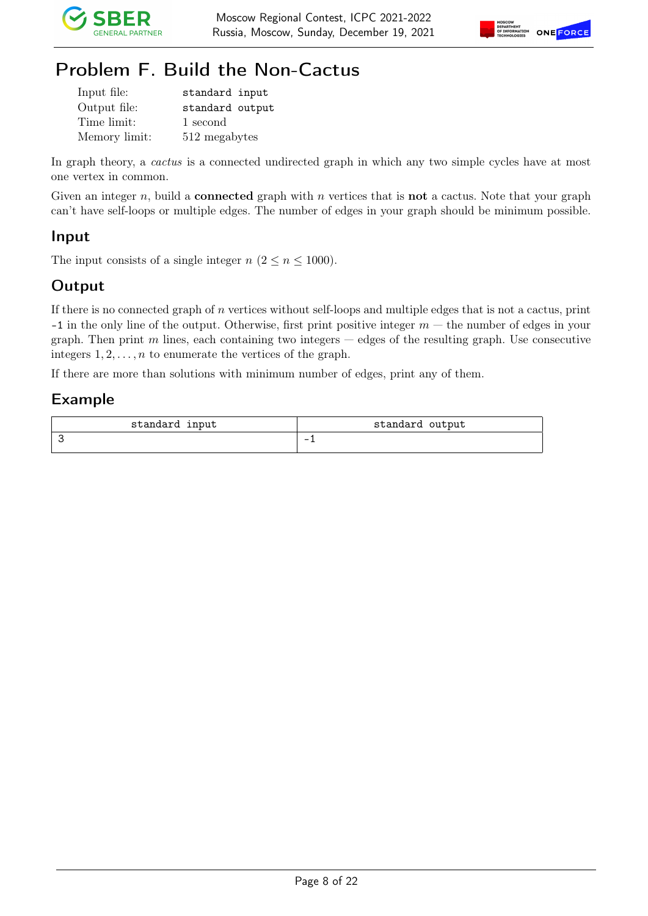



# Problem F. Build the Non-Cactus

| Input file:   | standard input  |
|---------------|-----------------|
| Output file:  | standard output |
| Time limit:   | 1 second        |
| Memory limit: | 512 megabytes   |

In graph theory, a *cactus* is a connected undirected graph in which any two simple cycles have at most one vertex in common.

Given an integer n, build a **connected** graph with n vertices that is **not** a cactus. Note that your graph can't have self-loops or multiple edges. The number of edges in your graph should be minimum possible.

### Input

The input consists of a single integer  $n (2 \le n \le 1000)$ .

### **Output**

If there is no connected graph of  $n$  vertices without self-loops and multiple edges that is not a cactus, print  $-1$  in the only line of the output. Otherwise, first print positive integer  $m$  — the number of edges in your graph. Then print m lines, each containing two integers  $-$  edges of the resulting graph. Use consecutive integers  $1, 2, \ldots, n$  to enumerate the vertices of the graph.

If there are more than solutions with minimum number of edges, print any of them.

| standard input | standard output          |
|----------------|--------------------------|
|                | $\overline{\phantom{0}}$ |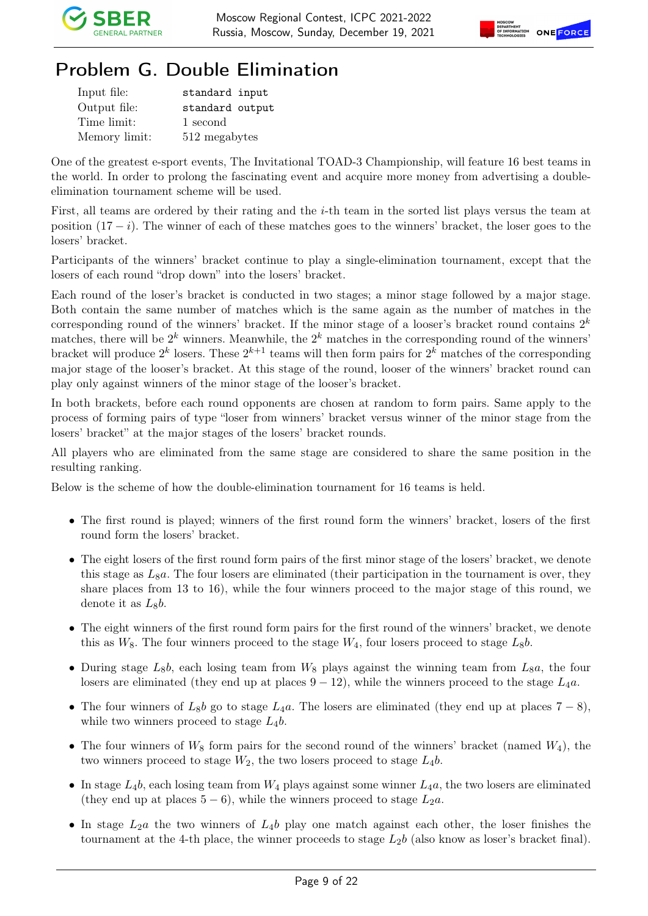



## Problem G. Double Elimination

| Input file:   | standard input  |
|---------------|-----------------|
| Output file:  | standard output |
| Time limit:   | 1 second        |
| Memory limit: | 512 megabytes   |

One of the greatest e-sport events, The Invitational TOAD-3 Championship, will feature 16 best teams in the world. In order to prolong the fascinating event and acquire more money from advertising a doubleelimination tournament scheme will be used.

First, all teams are ordered by their rating and the i-th team in the sorted list plays versus the team at position  $(17 - i)$ . The winner of each of these matches goes to the winners' bracket, the loser goes to the losers' bracket.

Participants of the winners' bracket continue to play a single-elimination tournament, except that the losers of each round "drop down" into the losers' bracket.

Each round of the loser's bracket is conducted in two stages; a minor stage followed by a major stage. Both contain the same number of matches which is the same again as the number of matches in the corresponding round of the winners' bracket. If the minor stage of a looser's bracket round contains  $2^k$ matches, there will be  $2^k$  winners. Meanwhile, the  $2^k$  matches in the corresponding round of the winners' bracket will produce  $2^k$  losers. These  $2^{k+1}$  teams will then form pairs for  $2^k$  matches of the corresponding major stage of the looser's bracket. At this stage of the round, looser of the winners' bracket round can play only against winners of the minor stage of the looser's bracket.

In both brackets, before each round opponents are chosen at random to form pairs. Same apply to the process of forming pairs of type "loser from winners' bracket versus winner of the minor stage from the losers' bracket" at the major stages of the losers' bracket rounds.

All players who are eliminated from the same stage are considered to share the same position in the resulting ranking.

Below is the scheme of how the double-elimination tournament for 16 teams is held.

- The first round is played; winners of the first round form the winners' bracket, losers of the first round form the losers' bracket.
- The eight losers of the first round form pairs of the first minor stage of the losers' bracket, we denote this stage as  $L_8a$ . The four losers are eliminated (their participation in the tournament is over, they share places from 13 to 16), while the four winners proceed to the major stage of this round, we denote it as  $L_8b$ .
- The eight winners of the first round form pairs for the first round of the winners' bracket, we denote this as  $W_8$ . The four winners proceed to the stage  $W_4$ , four losers proceed to stage  $L_8b$ .
- During stage  $L_8b$ , each losing team from  $W_8$  plays against the winning team from  $L_8a$ , the four losers are eliminated (they end up at places  $9 - 12$ ), while the winners proceed to the stage  $L_4a$ .
- The four winners of  $L_8b$  go to stage  $L_4a$ . The losers are eliminated (they end up at places  $7-8$ ), while two winners proceed to stage  $L_4b$ .
- The four winners of  $W_8$  form pairs for the second round of the winners' bracket (named  $W_4$ ), the two winners proceed to stage  $W_2$ , the two losers proceed to stage  $L_4b$ .
- In stage  $L_4b$ , each losing team from  $W_4$  plays against some winner  $L_4a$ , the two losers are eliminated (they end up at places  $5-6$ ), while the winners proceed to stage  $L_2a$ .
- In stage  $L_2a$  the two winners of  $L_4b$  play one match against each other, the loser finishes the tournament at the 4-th place, the winner proceeds to stage  $L_2b$  (also know as loser's bracket final).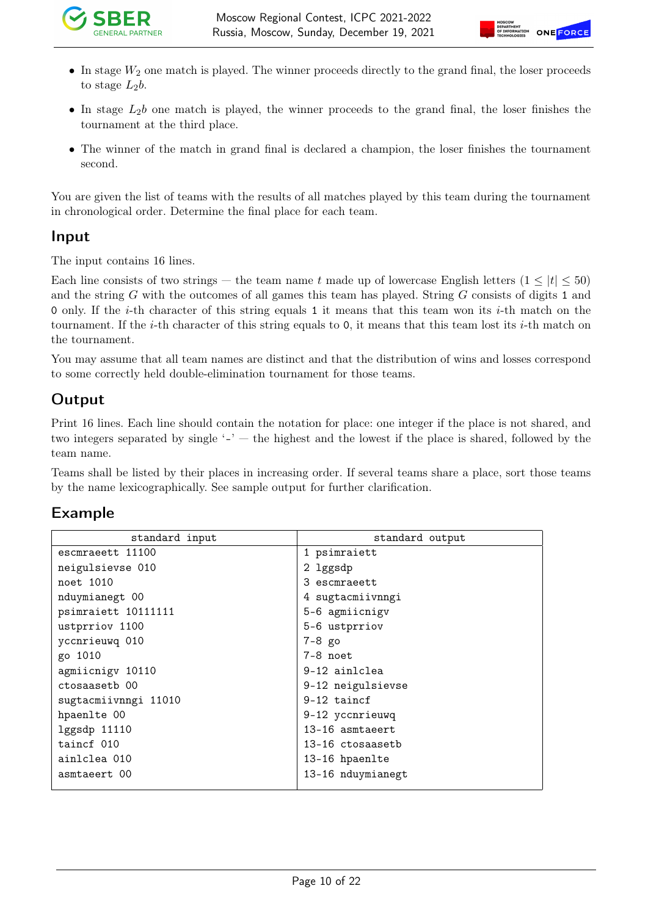

- In stage  $W_2$  one match is played. The winner proceeds directly to the grand final, the loser proceeds to stage  $L_2b$ .
- In stage  $L_2b$  one match is played, the winner proceeds to the grand final, the loser finishes the tournament at the third place.
- The winner of the match in grand final is declared a champion, the loser finishes the tournament second.

You are given the list of teams with the results of all matches played by this team during the tournament in chronological order. Determine the final place for each team.

#### Input

The input contains 16 lines.

Each line consists of two strings — the team name t made up of lowercase English letters  $(1 \leq |t| \leq 50)$ and the string G with the outcomes of all games this team has played. String G consists of digits 1 and 0 only. If the *i*-th character of this string equals 1 it means that this team won its *i*-th match on the tournament. If the *i*-th character of this string equals to 0, it means that this team lost its *i*-th match on the tournament.

You may assume that all team names are distinct and that the distribution of wins and losses correspond to some correctly held double-elimination tournament for those teams.

### Output

Print 16 lines. Each line should contain the notation for place: one integer if the place is not shared, and two integers separated by single  $-$  - the highest and the lowest if the place is shared, followed by the team name.

Teams shall be listed by their places in increasing order. If several teams share a place, sort those teams by the name lexicographically. See sample output for further clarification.

| standard input       | standard output   |
|----------------------|-------------------|
| escmraeett 11100     | 1 psimraiett      |
| neigulsievse 010     | 2 lggsdp          |
| noet 1010            | 3 escmraeett      |
| nduymianegt 00       | 4 sugtacmiivnngi  |
| psimraiett 10111111  | 5-6 agmiicnigv    |
| ustprriov 1100       | 5-6 ustprriov     |
| yccnrieuwq 010       | $7-8$ go          |
| go 1010              | 7-8 noet          |
| agmiicnigv 10110     | 9-12 ainlclea     |
| ctosaasetb 00        | 9-12 neigulsievse |
| sugtacmiivnngi 11010 | $9-12$ taincf     |
| hpaenlte 00          | 9-12 yccnrieuwq   |
| lggsdp 11110         | 13-16 asmtaeert   |
| taincf 010           | 13-16 ctosaasetb  |
| ainlclea 010         | 13-16 hpaenlte    |
| asmtaeert 00         | 13-16 nduymianegt |
|                      |                   |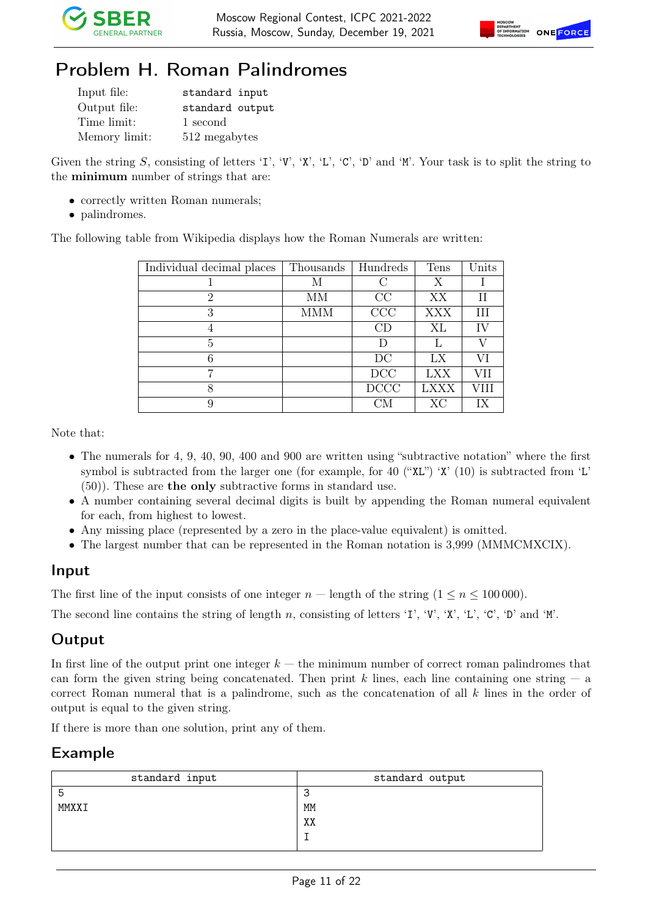



## Problem H. Roman Palindromes

| Input file:   | standard input  |
|---------------|-----------------|
| Output file:  | standard output |
| Time limit:   | 1 second        |
| Memory limit: | 512 megabytes   |

Given the string S, consisting of letters 'I', 'V', 'X', 'L', 'C', 'D' and 'M'. Your task is to split the string to the minimum number of strings that are:

- correctly written Roman numerals;
- palindromes.

The following table from Wikipedia displays how the Roman Numerals are written:

| Individual decimal places | Thousands | Hundreds    | Tens        | Units |
|---------------------------|-----------|-------------|-------------|-------|
|                           | М         |             | Х           |       |
| $\mathcal{D}$             | MМ        | CC          | XX          | Н     |
| 3                         | MMM       | CCC         | <b>XXX</b>  | Ш     |
| 4                         |           | CD          | XL          | IV    |
| 5                         |           | I)          |             | V     |
| 6                         |           | DC          | LX          | VI    |
| ⇁                         |           | DCC         | LXX         | VH    |
| 8                         |           | <b>DCCC</b> | <b>LXXX</b> | VIII  |
| 9                         |           |             | XC          | IX    |

Note that:

- The numerals for 4, 9, 40, 90, 400 and 900 are written using "subtractive notation" where the first symbol is subtracted from the larger one (for example, for 40 ("XL") 'X' (10) is subtracted from 'L' (50)). These are the only subtractive forms in standard use.
- A number containing several decimal digits is built by appending the Roman numeral equivalent for each, from highest to lowest.
- Any missing place (represented by a zero in the place-value equivalent) is omitted.
- The largest number that can be represented in the Roman notation is 3,999 (MMMCMXCIX).

#### Input

The first line of the input consists of one integer  $n$  — length of the string  $(1 \leq n \leq 100000)$ .

The second line contains the string of length n, consisting of letters 'I', 'V', 'X', 'L', 'C', 'D' and 'M'.

#### **Output**

In first line of the output print one integer  $k$  — the minimum number of correct roman palindromes that can form the given string being concatenated. Then print k lines, each line containing one string  $-$  a correct Roman numeral that is a palindrome, such as the concatenation of all k lines in the order of output is equal to the given string.

If there is more than one solution, print any of them.

| standard input | standard output |
|----------------|-----------------|
| b              | ີ<br>$\sim$     |
| MMXXI          | MM              |
|                | XX              |
|                |                 |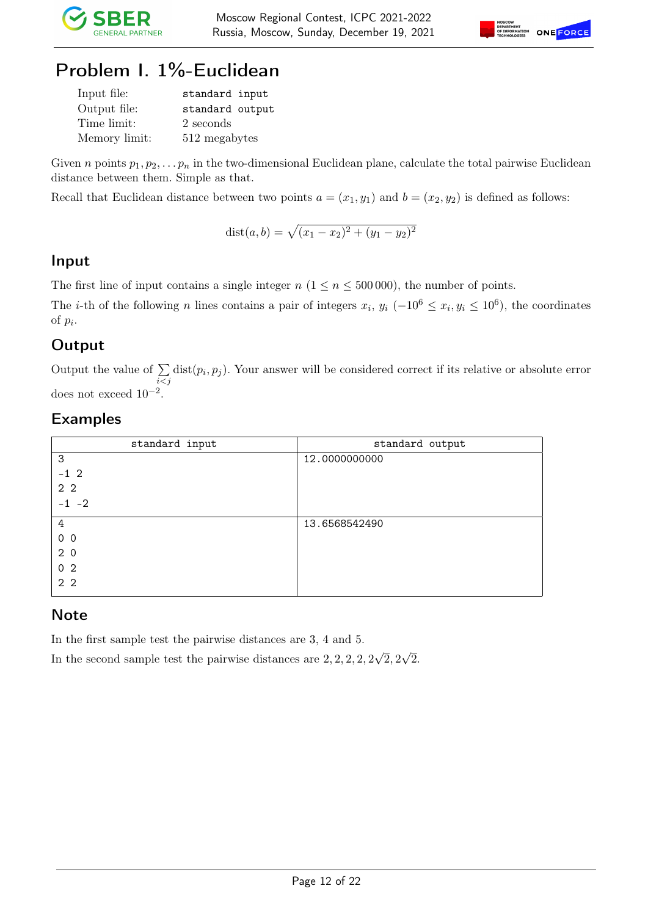



## Problem I. 1%-Euclidean

| Input file:   | standard input  |
|---------------|-----------------|
| Output file:  | standard output |
| Time limit:   | 2 seconds       |
| Memory limit: | 512 megabytes   |

Given n points  $p_1, p_2, \ldots, p_n$  in the two-dimensional Euclidean plane, calculate the total pairwise Euclidean distance between them. Simple as that.

Recall that Euclidean distance between two points  $a = (x_1, y_1)$  and  $b = (x_2, y_2)$  is defined as follows:

$$
dist(a, b) = \sqrt{(x_1 - x_2)^2 + (y_1 - y_2)^2}
$$

### Input

The first line of input contains a single integer  $n (1 \le n \le 500000)$ , the number of points.

The *i*-th of the following *n* lines contains a pair of integers  $x_i$ ,  $y_i$  ( $-10^6 \le x_i$ ,  $y_i \le 10^6$ ), the coordinates of  $p_i$ .

### **Output**

Output the value of  $\Sigma$  $i < j$  $dist(p_i, p_j)$ . Your answer will be considered correct if its relative or absolute error does not exceed  $10^{-2}$ .

### Examples

| standard input | standard output |
|----------------|-----------------|
| 3              | 12.0000000000   |
| $-1$ 2         |                 |
| 2 <sub>2</sub> |                 |
| $-1$ $-2$      |                 |
| 4              | 13.6568542490   |
| 0 <sub>0</sub> |                 |
| 2 <sub>0</sub> |                 |
| 0 <sub>2</sub> |                 |
| 2 <sub>2</sub> |                 |

#### **Note**

In the first sample test the pairwise distances are 3, 4 and 5.

In the second sample test the pairwise distances are 2, 2, 2, 2, 2 √  $2,2$ √ 2.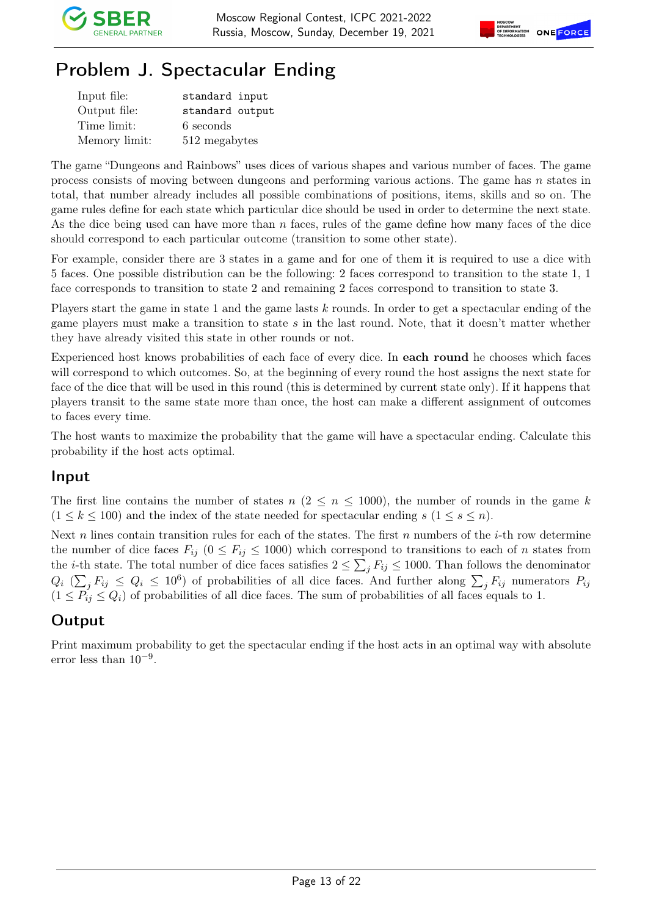

# Problem J. Spectacular Ending

| Input file:   | standard input  |
|---------------|-----------------|
| Output file:  | standard output |
| Time limit:   | 6 seconds       |
| Memory limit: | 512 megabytes   |

The game "Dungeons and Rainbows" uses dices of various shapes and various number of faces. The game process consists of moving between dungeons and performing various actions. The game has  $n$  states in total, that number already includes all possible combinations of positions, items, skills and so on. The game rules define for each state which particular dice should be used in order to determine the next state. As the dice being used can have more than  $n$  faces, rules of the game define how many faces of the dice should correspond to each particular outcome (transition to some other state).

For example, consider there are 3 states in a game and for one of them it is required to use a dice with 5 faces. One possible distribution can be the following: 2 faces correspond to transition to the state 1, 1 face corresponds to transition to state 2 and remaining 2 faces correspond to transition to state 3.

Players start the game in state 1 and the game lasts  $k$  rounds. In order to get a spectacular ending of the game players must make a transition to state s in the last round. Note, that it doesn't matter whether they have already visited this state in other rounds or not.

Experienced host knows probabilities of each face of every dice. In each round he chooses which faces will correspond to which outcomes. So, at the beginning of every round the host assigns the next state for face of the dice that will be used in this round (this is determined by current state only). If it happens that players transit to the same state more than once, the host can make a different assignment of outcomes to faces every time.

The host wants to maximize the probability that the game will have a spectacular ending. Calculate this probability if the host acts optimal.

#### Input

The first line contains the number of states  $n (2 \leq n \leq 1000)$ , the number of rounds in the game k  $(1 \leq k \leq 100)$  and the index of the state needed for spectacular ending s  $(1 \leq s \leq n)$ .

Next n lines contain transition rules for each of the states. The first n numbers of the *i*-th row determine the number of dice faces  $F_{ij}$  ( $0 \leq F_{ij} \leq 1000$ ) which correspond to transitions to each of n states from the *i*-th state. The total number of dice faces satisfies  $2 \le \sum_j F_{ij} \le 1000$ . Than follows the denominator  $Q_i$  ( $\sum_j F_{ij} \leq Q_i \leq 10^6$ ) of probabilities of all dice faces. And further along  $\sum_j F_{ij}$  numerators  $P_{ij}$  $(1 \leq P_{ij} \leq Q_i)$  of probabilities of all dice faces. The sum of probabilities of all faces equals to 1.

### **Output**

Print maximum probability to get the spectacular ending if the host acts in an optimal way with absolute error less than 10−<sup>9</sup> .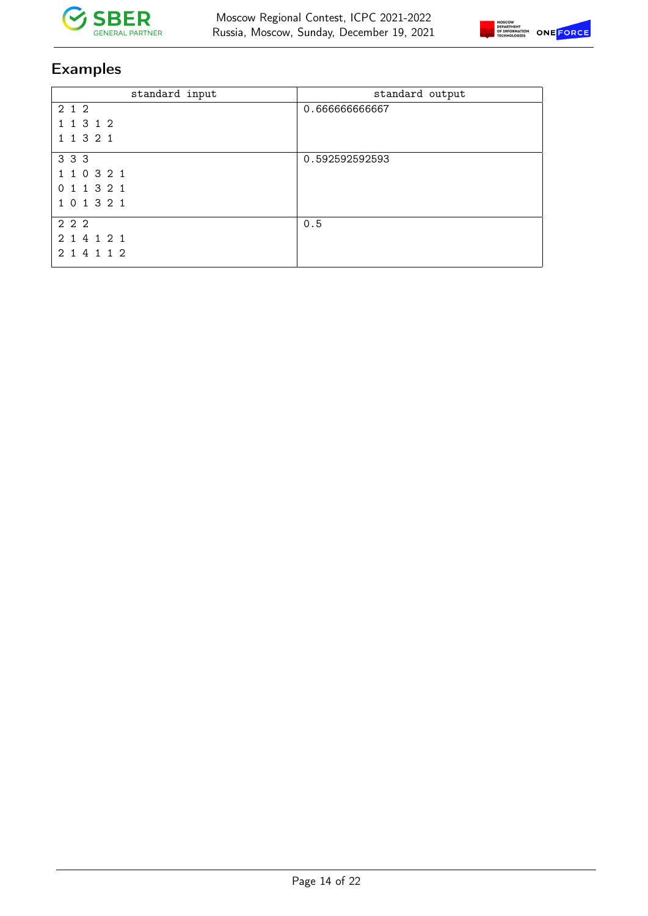



| standard input | standard output |
|----------------|-----------------|
| 2 1 2          | 0.66666666667   |
| 1 1 3 1 2      |                 |
| 1 1 3 2 1      |                 |
| 3 3 3          | 0.592592592593  |
| 1 1 0 3 2 1    |                 |
| 0 1 1 3 2 1    |                 |
| 1 0 1 3 2 1    |                 |
| 2 2 2          | 0.5             |
| 2 1 4 1 2 1    |                 |
| 2 1 4 1 1 2    |                 |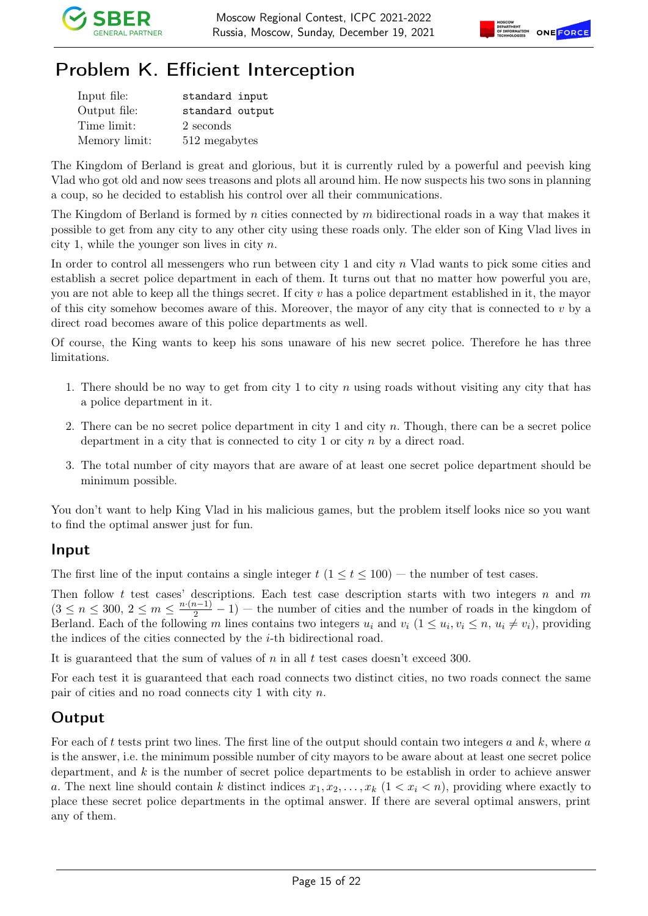

# Problem K. Efficient Interception

| Input file:   | standard input  |
|---------------|-----------------|
| Output file:  | standard output |
| Time limit:   | 2 seconds       |
| Memory limit: | 512 megabytes   |

The Kingdom of Berland is great and glorious, but it is currently ruled by a powerful and peevish king Vlad who got old and now sees treasons and plots all around him. He now suspects his two sons in planning a coup, so he decided to establish his control over all their communications.

The Kingdom of Berland is formed by n cities connected by m bidirectional roads in a way that makes it possible to get from any city to any other city using these roads only. The elder son of King Vlad lives in city 1, while the younger son lives in city  $n$ .

In order to control all messengers who run between city 1 and city n Vlad wants to pick some cities and establish a secret police department in each of them. It turns out that no matter how powerful you are, you are not able to keep all the things secret. If city v has a police department established in it, the mayor of this city somehow becomes aware of this. Moreover, the mayor of any city that is connected to  $v$  by a direct road becomes aware of this police departments as well.

Of course, the King wants to keep his sons unaware of his new secret police. Therefore he has three limitations.

- 1. There should be no way to get from city 1 to city n using roads without visiting any city that has a police department in it.
- 2. There can be no secret police department in city 1 and city n. Though, there can be a secret police department in a city that is connected to city 1 or city  $n$  by a direct road.
- 3. The total number of city mayors that are aware of at least one secret police department should be minimum possible.

You don't want to help King Vlad in his malicious games, but the problem itself looks nice so you want to find the optimal answer just for fun.

#### Input

The first line of the input contains a single integer  $t$   $(1 \le t \le 100)$  — the number of test cases.

Then follow t test cases' descriptions. Each test case description starts with two integers n and  $m$  $(3 \leq n \leq 300, 2 \leq m \leq \frac{n(n-1)}{2} - 1)$  – the number of cities and the number of roads in the kingdom of Berland. Each of the following m lines contains two integers  $u_i$  and  $v_i$   $(1 \le u_i, v_i \le n, u_i \ne v_i)$ , providing the indices of the cities connected by the  $i$ -th bidirectional road.

It is guaranteed that the sum of values of n in all t test cases doesn't exceed 300.

For each test it is guaranteed that each road connects two distinct cities, no two roads connect the same pair of cities and no road connects city 1 with city n.

### **Output**

For each of t tests print two lines. The first line of the output should contain two integers  $a$  and  $k$ , where  $a$ is the answer, i.e. the minimum possible number of city mayors to be aware about at least one secret police department, and  $k$  is the number of secret police departments to be establish in order to achieve answer a. The next line should contain k distinct indices  $x_1, x_2, \ldots, x_k$   $(1 \lt x_i \lt n)$ , providing where exactly to place these secret police departments in the optimal answer. If there are several optimal answers, print any of them.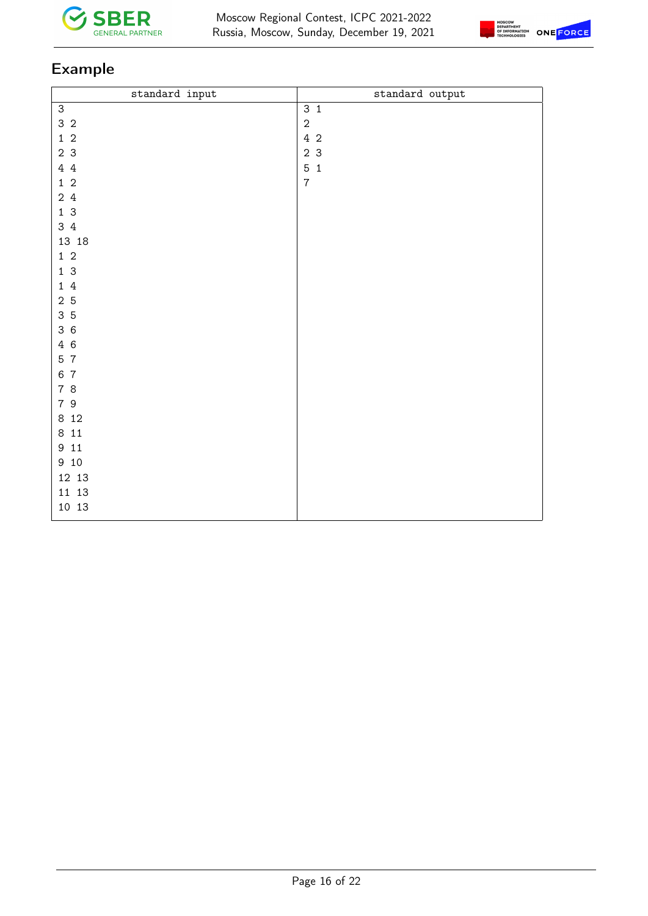



| standard input            | standard output |
|---------------------------|-----------------|
| $\ensuremath{\mathsf{3}}$ | 3 <sub>1</sub>  |
| 3 <sub>2</sub>            | $\sqrt{2}$      |
| $1\,$ $2\,$               | 4 2             |
| 2 <sub>3</sub>            | 2 <sub>3</sub>  |
| 44                        | 5 <sub>1</sub>  |
| $1\,$ $2\,$               | $\overline{7}$  |
| 24                        |                 |
| 13                        |                 |
| 34                        |                 |
| 13 18                     |                 |
| $1\,$ 2                   |                 |
| 13                        |                 |
| $1\,$ $4\,$               |                 |
| 2 <sub>5</sub>            |                 |
| 35                        |                 |
| 36                        |                 |
| 4 6                       |                 |
| 5 7                       |                 |
| 6 7                       |                 |
| 78                        |                 |
| 79                        |                 |
| 8 1 2                     |                 |
| 811                       |                 |
| 9 11                      |                 |
| 9 10                      |                 |
| 12 13                     |                 |
| 11 13                     |                 |
| 10 13                     |                 |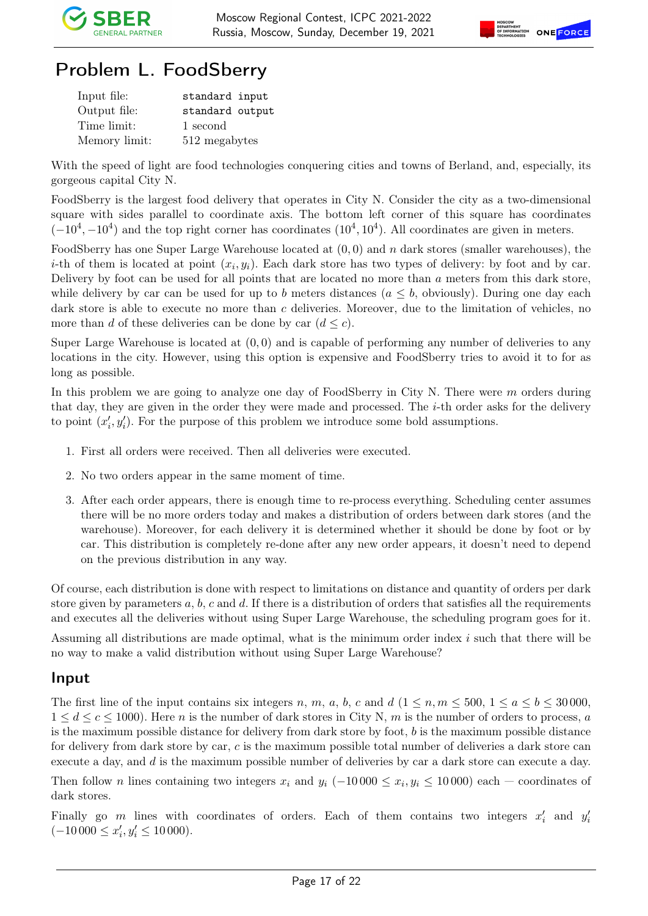

# Problem L. FoodSberry

| Input file:   | standard input  |
|---------------|-----------------|
| Output file:  | standard output |
| Time limit:   | 1 second        |
| Memory limit: | 512 megabytes   |

With the speed of light are food technologies conquering cities and towns of Berland, and, especially, its gorgeous capital City N.

FoodSberry is the largest food delivery that operates in City N. Consider the city as a two-dimensional square with sides parallel to coordinate axis. The bottom left corner of this square has coordinates  $(-10^4, -10^4)$  and the top right corner has coordinates  $(10^4, 10^4)$ . All coordinates are given in meters.

FoodSberry has one Super Large Warehouse located at  $(0, 0)$  and n dark stores (smaller warehouses), the *i*-th of them is located at point  $(x_i, y_i)$ . Each dark store has two types of delivery: by foot and by car. Delivery by foot can be used for all points that are located no more than a meters from this dark store, while delivery by car can be used for up to b meters distances  $(a \leq b$ , obviously). During one day each dark store is able to execute no more than c deliveries. Moreover, due to the limitation of vehicles, no more than d of these deliveries can be done by car  $(d \leq c)$ .

Super Large Warehouse is located at  $(0,0)$  and is capable of performing any number of deliveries to any locations in the city. However, using this option is expensive and FoodSberry tries to avoid it to for as long as possible.

In this problem we are going to analyze one day of FoodSberry in City N. There were m orders during that day, they are given in the order they were made and processed. The i-th order asks for the delivery to point  $(x'_i, y'_i)$ . For the purpose of this problem we introduce some bold assumptions.

- 1. First all orders were received. Then all deliveries were executed.
- 2. No two orders appear in the same moment of time.
- 3. After each order appears, there is enough time to re-process everything. Scheduling center assumes there will be no more orders today and makes a distribution of orders between dark stores (and the warehouse). Moreover, for each delivery it is determined whether it should be done by foot or by car. This distribution is completely re-done after any new order appears, it doesn't need to depend on the previous distribution in any way.

Of course, each distribution is done with respect to limitations on distance and quantity of orders per dark store given by parameters a, b, c and d. If there is a distribution of orders that satisfies all the requirements and executes all the deliveries without using Super Large Warehouse, the scheduling program goes for it.

Assuming all distributions are made optimal, what is the minimum order index i such that there will be no way to make a valid distribution without using Super Large Warehouse?

### Input

The first line of the input contains six integers n, m, a, b, c and  $d$   $(1 \leq n, m \leq 500, 1 \leq a \leq b \leq 30000,$  $1 \leq d \leq c \leq 1000$ . Here n is the number of dark stores in City N, m is the number of orders to process, a is the maximum possible distance for delivery from dark store by foot,  $b$  is the maximum possible distance for delivery from dark store by car, c is the maximum possible total number of deliveries a dark store can execute a day, and d is the maximum possible number of deliveries by car a dark store can execute a day.

Then follow *n* lines containing two integers  $x_i$  and  $y_i$  (-10 000 ≤  $x_i, y_i$  ≤ 10 000) each – coordinates of dark stores.

Finally go m lines with coordinates of orders. Each of them contains two integers  $x_i'$  and  $y_i'$  $(-10000 \le x'_i, y'_i \le 10000).$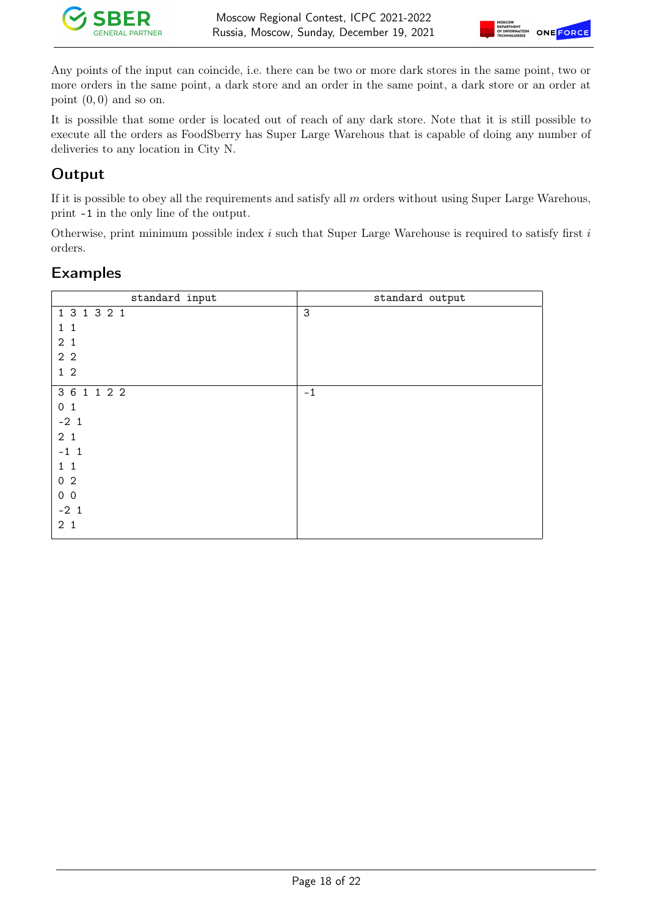



Any points of the input can coincide, i.e. there can be two or more dark stores in the same point, two or more orders in the same point, a dark store and an order in the same point, a dark store or an order at point  $(0, 0)$  and so on.

It is possible that some order is located out of reach of any dark store. Note that it is still possible to execute all the orders as FoodSberry has Super Large Warehous that is capable of doing any number of deliveries to any location in City N.

### **Output**

If it is possible to obey all the requirements and satisfy all  $m$  orders without using Super Large Warehous, print -1 in the only line of the output.

Otherwise, print minimum possible index  $i$  such that Super Large Warehouse is required to satisfy first  $i$ orders.

| standard input | standard output |
|----------------|-----------------|
| 1 3 1 3 2 1    | 3               |
| $1\quad1$      |                 |
| 2 <sub>1</sub> |                 |
| 2 <sub>2</sub> |                 |
| $1\,2$         |                 |
| 3 6 1 1 2 2    | $-1$            |
| 0 <sub>1</sub> |                 |
| $-21$          |                 |
| 2 <sub>1</sub> |                 |
| $-1$ 1         |                 |
| $1\quad1$      |                 |
| 0 <sub>2</sub> |                 |
| $0\quad0$      |                 |
| $-21$          |                 |
| 2 <sub>1</sub> |                 |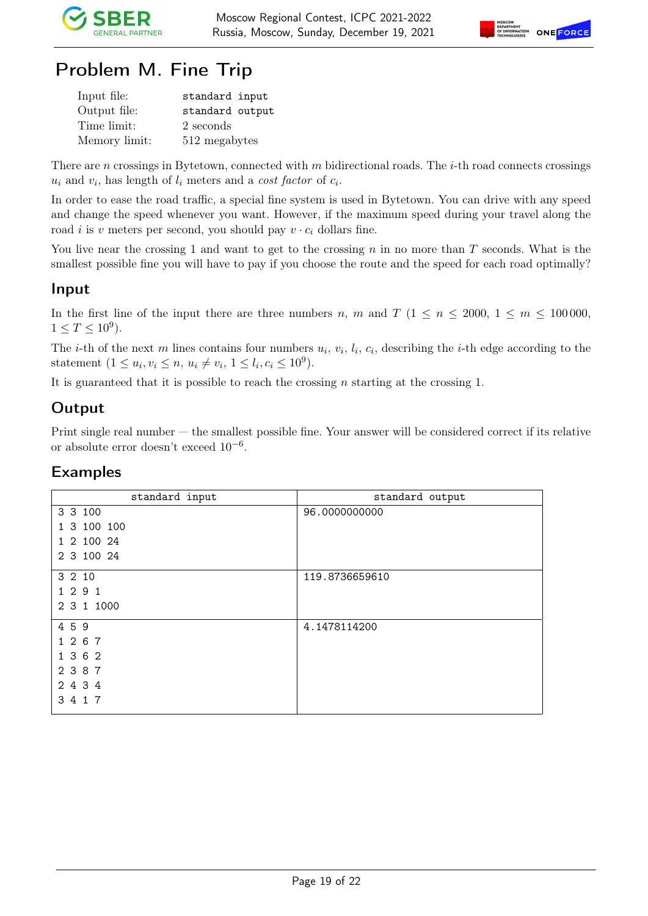



## Problem M. Fine Trip

| Input file:   | standard input  |
|---------------|-----------------|
| Output file:  | standard output |
| Time limit:   | 2 seconds       |
| Memory limit: | 512 megabytes   |

There are n crossings in Bytetown, connected with m bidirectional roads. The *i*-th road connects crossings  $u_i$  and  $v_i$ , has length of  $l_i$  meters and a *cost factor* of  $c_i$ .

In order to ease the road traffic, a special fine system is used in Bytetown. You can drive with any speed and change the speed whenever you want. However, if the maximum speed during your travel along the road *i* is v meters per second, you should pay  $v \cdot c_i$  dollars fine.

You live near the crossing 1 and want to get to the crossing  $n$  in no more than  $T$  seconds. What is the smallest possible fine you will have to pay if you choose the route and the speed for each road optimally?

#### Input

In the first line of the input there are three numbers n, m and T ( $1 \le n \le 2000$ ,  $1 \le m \le 100000$ ,  $1 \le T \le 10^9$ ).

The *i*-th of the next m lines contains four numbers  $u_i$ ,  $v_i$ ,  $l_i$ ,  $c_i$ , describing the *i*-th edge according to the statement  $(1 \le u_i, v_i \le n, u_i \ne v_i, 1 \le l_i, c_i \le 10^9)$ .

It is guaranteed that it is possible to reach the crossing  $n$  starting at the crossing 1.

### Output

Print single real number — the smallest possible fine. Your answer will be considered correct if its relative or absolute error doesn't exceed 10−<sup>6</sup> .

| standard output |
|-----------------|
| 96.0000000000   |
|                 |
|                 |
|                 |
| 119.8736659610  |
|                 |
|                 |
| 4.1478114200    |
|                 |
|                 |
|                 |
|                 |
|                 |
|                 |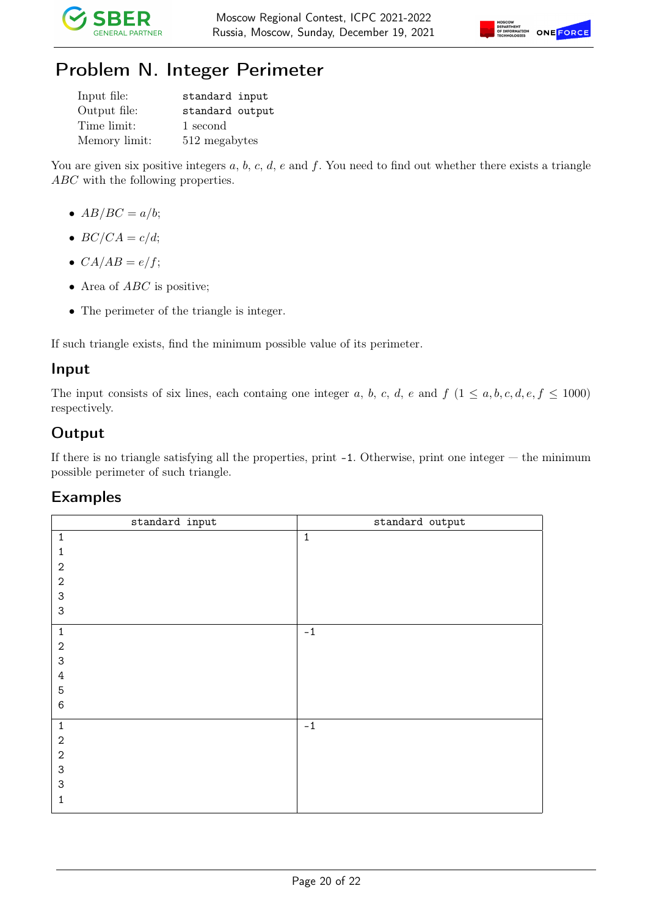



## Problem N. Integer Perimeter

| Input file:   | standard input  |
|---------------|-----------------|
| Output file:  | standard output |
| Time limit:   | 1 second        |
| Memory limit: | 512 megabytes   |

You are given six positive integers  $a, b, c, d, e$  and  $f$ . You need to find out whether there exists a triangle ABC with the following properties.

- $AB/BC = a/b;$
- $BC/CA = c/d;$
- $CA/AB = e/f;$
- Area of  $ABC$  is positive;
- The perimeter of the triangle is integer.

If such triangle exists, find the minimum possible value of its perimeter.

#### Input

The input consists of six lines, each containg one integer a, b, c, d, e and  $f\ (1 \le a, b, c, d, e, f \le 1000)$ respectively.

### **Output**

If there is no triangle satisfying all the properties, print -1. Otherwise, print one integer — the minimum possible perimeter of such triangle.

| standard input            | standard output |
|---------------------------|-----------------|
| $\mathbf 1$               | $\mathbf 1$     |
| 1                         |                 |
| $\sqrt{2}$                |                 |
| $\sqrt{2}$                |                 |
| 3                         |                 |
| 3                         |                 |
| $\mathbf 1$               | $^{\rm -1}$     |
| $\boldsymbol{2}$          |                 |
| $\ensuremath{\mathsf{3}}$ |                 |
| $\sqrt{4}$                |                 |
| $\mathbf 5$               |                 |
| 6                         |                 |
| $\mathbf 1$               | $^{\rm -1}$     |
| $\mathbf{2}$              |                 |
| $\sqrt{2}$                |                 |
| 3                         |                 |
| 3                         |                 |
| 1                         |                 |
|                           |                 |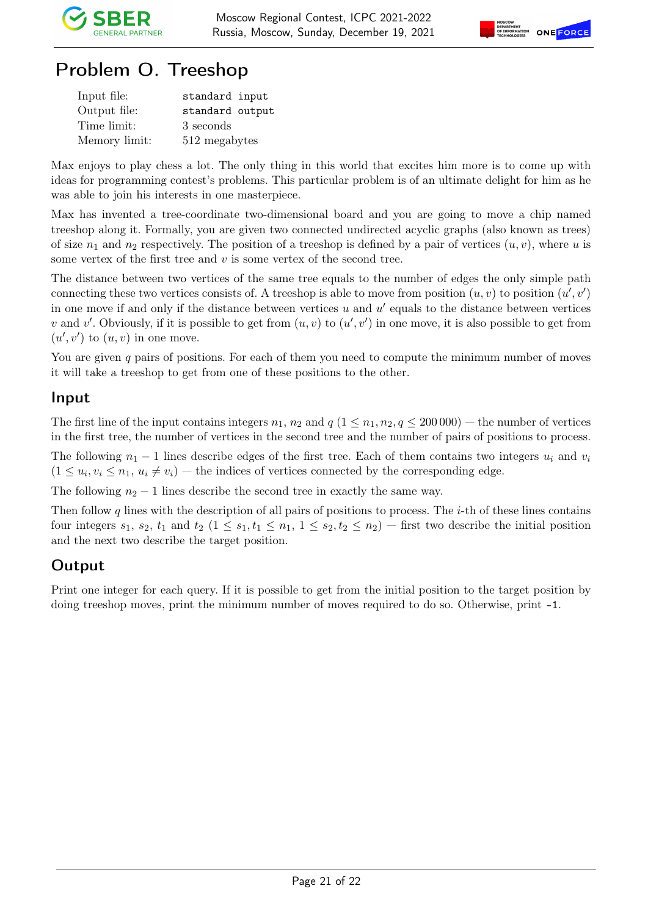

## Problem O. Treeshop

| Input file:   | standard input  |
|---------------|-----------------|
| Output file:  | standard output |
| Time limit:   | 3 seconds       |
| Memory limit: | 512 megabytes   |

Max enjoys to play chess a lot. The only thing in this world that excites him more is to come up with ideas for programming contest's problems. This particular problem is of an ultimate delight for him as he was able to join his interests in one masterpiece.

Max has invented a tree-coordinate two-dimensional board and you are going to move a chip named treeshop along it. Formally, you are given two connected undirected acyclic graphs (also known as trees) of size  $n_1$  and  $n_2$  respectively. The position of a treeshop is defined by a pair of vertices  $(u, v)$ , where u is some vertex of the first tree and  $v$  is some vertex of the second tree.

The distance between two vertices of the same tree equals to the number of edges the only simple path connecting these two vertices consists of. A treeshop is able to move from position  $(u, v)$  to position  $(u', v')$ in one move if and only if the distance between vertices  $u$  and  $u'$  equals to the distance between vertices v and v'. Obviously, if it is possible to get from  $(u, v)$  to  $(u', v')$  in one move, it is also possible to get from  $(u', v')$  to  $(u, v)$  in one move.

You are given q pairs of positions. For each of them you need to compute the minimum number of moves it will take a treeshop to get from one of these positions to the other.

#### Input

The first line of the input contains integers  $n_1$ ,  $n_2$  and  $q$  ( $1 \leq n_1, n_2, q \leq 200000$ ) — the number of vertices in the first tree, the number of vertices in the second tree and the number of pairs of positions to process.

The following  $n_1 - 1$  lines describe edges of the first tree. Each of them contains two integers  $u_i$  and  $v_i$  $(1 \le u_i, v_i \le n_1, u_i \ne v_i)$  — the indices of vertices connected by the corresponding edge.

The following  $n_2 - 1$  lines describe the second tree in exactly the same way.

Then follow q lines with the description of all pairs of positions to process. The  $i$ -th of these lines contains four integers  $s_1$ ,  $s_2$ ,  $t_1$  and  $t_2$   $(1 \leq s_1, t_1 \leq n_1, 1 \leq s_2, t_2 \leq n_2)$  — first two describe the initial position and the next two describe the target position.

### **Output**

Print one integer for each query. If it is possible to get from the initial position to the target position by doing treeshop moves, print the minimum number of moves required to do so. Otherwise, print -1.